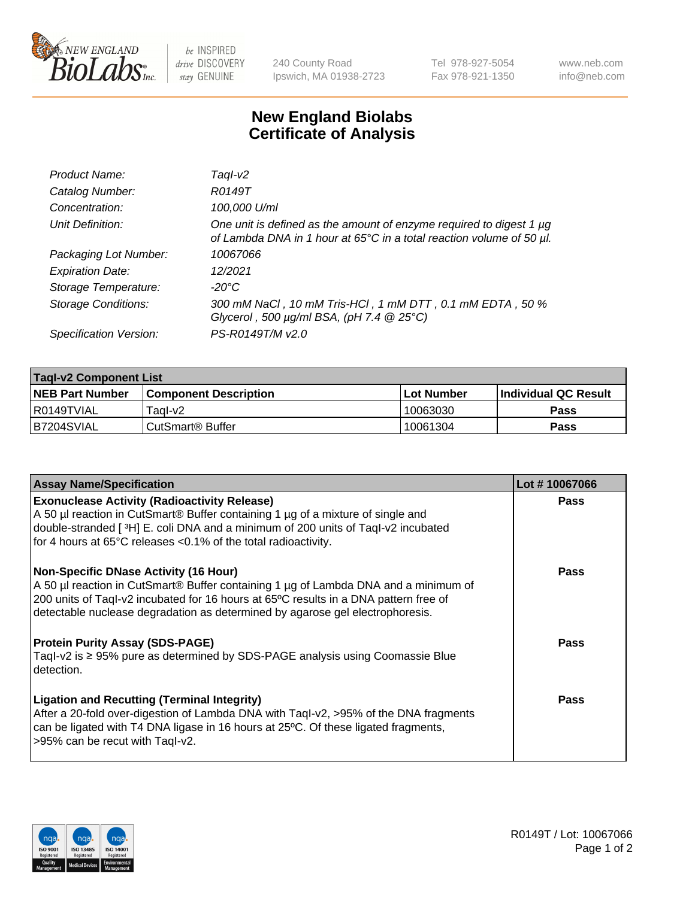

 $be$  INSPIRED drive DISCOVERY stay GENUINE

240 County Road Ipswich, MA 01938-2723 Tel 978-927-5054 Fax 978-921-1350 www.neb.com info@neb.com

## **New England Biolabs Certificate of Analysis**

| Product Name:              | Taql-v2                                                                                                                                     |
|----------------------------|---------------------------------------------------------------------------------------------------------------------------------------------|
| Catalog Number:            | R0149T                                                                                                                                      |
| Concentration:             | 100,000 U/ml                                                                                                                                |
| Unit Definition:           | One unit is defined as the amount of enzyme required to digest 1 µg<br>of Lambda DNA in 1 hour at 65°C in a total reaction volume of 50 µl. |
| Packaging Lot Number:      | 10067066                                                                                                                                    |
| <b>Expiration Date:</b>    | 12/2021                                                                                                                                     |
| Storage Temperature:       | $-20^{\circ}$ C                                                                                                                             |
| <b>Storage Conditions:</b> | 300 mM NaCl, 10 mM Tris-HCl, 1 mM DTT, 0.1 mM EDTA, 50 %<br>Glycerol, 500 $\mu$ g/ml BSA, (pH 7.4 $@25°C$ )                                 |
| Specification Version:     | PS-R0149T/M v2.0                                                                                                                            |

| <b>Tagl-v2 Component List</b> |                              |              |                             |  |  |
|-------------------------------|------------------------------|--------------|-----------------------------|--|--|
| <b>NEB Part Number</b>        | <b>Component Description</b> | l Lot Number | <b>Individual QC Result</b> |  |  |
| I R0149TVIAL                  | Taɑl-v2                      | 10063030     | <b>Pass</b>                 |  |  |
| B7204SVIAL                    | l CutSmart® Buffer           | 10061304     | Pass                        |  |  |

| <b>Assay Name/Specification</b>                                                                                                                                                                                                                                                                              | Lot #10067066 |
|--------------------------------------------------------------------------------------------------------------------------------------------------------------------------------------------------------------------------------------------------------------------------------------------------------------|---------------|
| <b>Exonuclease Activity (Radioactivity Release)</b><br>A 50 µl reaction in CutSmart® Buffer containing 1 µg of a mixture of single and<br>double-stranded [3H] E. coli DNA and a minimum of 200 units of Taql-v2 incubated<br>for 4 hours at 65°C releases <0.1% of the total radioactivity.                 | Pass          |
| <b>Non-Specific DNase Activity (16 Hour)</b><br>A 50 µl reaction in CutSmart® Buffer containing 1 µg of Lambda DNA and a minimum of<br>200 units of Taql-v2 incubated for 16 hours at 65°C results in a DNA pattern free of<br>detectable nuclease degradation as determined by agarose gel electrophoresis. | Pass          |
| <b>Protein Purity Assay (SDS-PAGE)</b><br>Tagl-v2 is $\geq$ 95% pure as determined by SDS-PAGE analysis using Coomassie Blue<br>detection.                                                                                                                                                                   | Pass          |
| <b>Ligation and Recutting (Terminal Integrity)</b><br>After a 20-fold over-digestion of Lambda DNA with Taql-v2, >95% of the DNA fragments<br>can be ligated with T4 DNA ligase in 16 hours at 25°C. Of these ligated fragments,<br>>95% can be recut with Tagl-v2.                                          | <b>Pass</b>   |